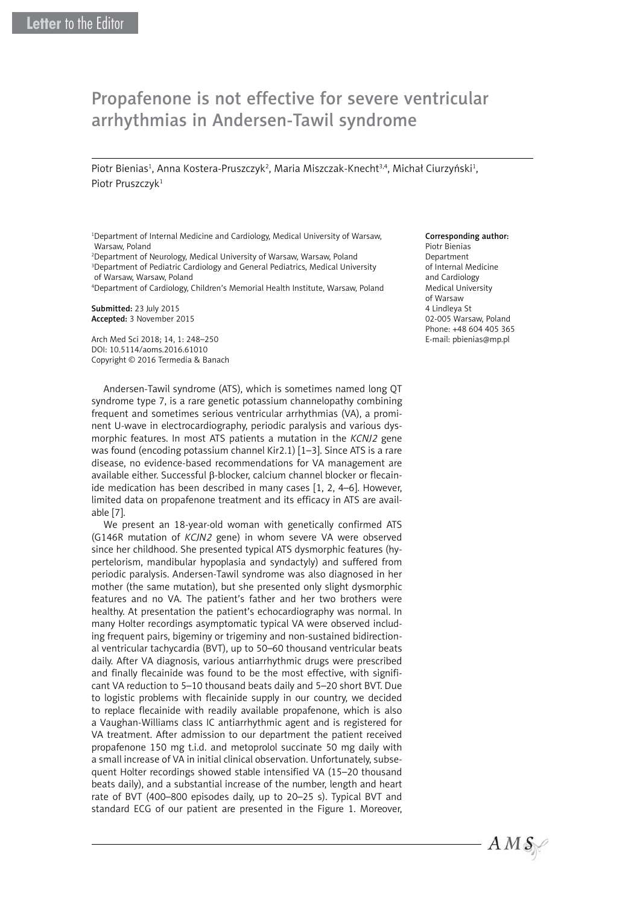## Propafenone is not effective for severe ventricular arrhythmias in Andersen-Tawil syndrome

Piotr Bienias<sup>1</sup>, Anna Kostera-Pruszczyk<sup>2</sup>, Maria Miszczak-Knecht<sup>3,4</sup>, Michał Ciurzyński<sup>1</sup>, Piotr Pruszczyk<sup>1</sup>

1 Department of Internal Medicine and Cardiology, Medical University of Warsaw, Warsaw, Poland

2 Department of Neurology, Medical University of Warsaw, Warsaw, Poland <sup>3</sup>Department of Pediatric Cardiology and General Pediatrics, Medical University of Warsaw, Warsaw, Poland

4 Department of Cardiology, Children's Memorial Health Institute, Warsaw, Poland

Submitted: 23 July 2015 Accepted: 3 November 2015

Arch Med Sci 2018; 14, 1: 248–250 DOI: 10.5114/aoms.2016.61010 Copyright © 2016 Termedia & Banach

Andersen-Tawil syndrome (ATS), which is sometimes named long QT syndrome type 7, is a rare genetic potassium channelopathy combining frequent and sometimes serious ventricular arrhythmias (VA), a prominent U-wave in electrocardiography, periodic paralysis and various dysmorphic features. In most ATS patients a mutation in the *KCNJ2* gene was found (encoding potassium channel Kir2.1) [1–3]. Since ATS is a rare disease, no evidence-based recommendations for VA management are available either. Successful β-blocker, calcium channel blocker or flecainide medication has been described in many cases [1, 2, 4–6]. However, limited data on propafenone treatment and its efficacy in ATS are available [7].

We present an 18-year-old woman with genetically confirmed ATS (G146R mutation of *KCJN2* gene) in whom severe VA were observed since her childhood. She presented typical ATS dysmorphic features (hypertelorism, mandibular hypoplasia and syndactyly) and suffered from periodic paralysis. Andersen-Tawil syndrome was also diagnosed in her mother (the same mutation), but she presented only slight dysmorphic features and no VA. The patient's father and her two brothers were healthy. At presentation the patient's echocardiography was normal. In many Holter recordings asymptomatic typical VA were observed including frequent pairs, bigeminy or trigeminy and non-sustained bidirectional ventricular tachycardia (BVT), up to 50–60 thousand ventricular beats daily. After VA diagnosis, various antiarrhythmic drugs were prescribed and finally flecainide was found to be the most effective, with significant VA reduction to 5–10 thousand beats daily and 5–20 short BVT. Due to logistic problems with flecainide supply in our country, we decided to replace flecainide with readily available propafenone, which is also a Vaughan-Williams class IC antiarrhythmic agent and is registered for VA treatment. After admission to our department the patient received propafenone 150 mg t.i.d. and metoprolol succinate 50 mg daily with a small increase of VA in initial clinical observation. Unfortunately, subsequent Holter recordings showed stable intensified VA (15–20 thousand beats daily), and a substantial increase of the number, length and heart rate of BVT (400–800 episodes daily, up to 20–25 s). Typical BVT and standard ECG of our patient are presented in the Figure 1. Moreover,

Corresponding author: Piotr Bienias Department of Internal Medicine and Cardiology Medical University of Warsaw 4 Lindleya St 02-005 Warsaw, Poland Phone: +48 604 405 365 E-mail: pbienias@mp.pl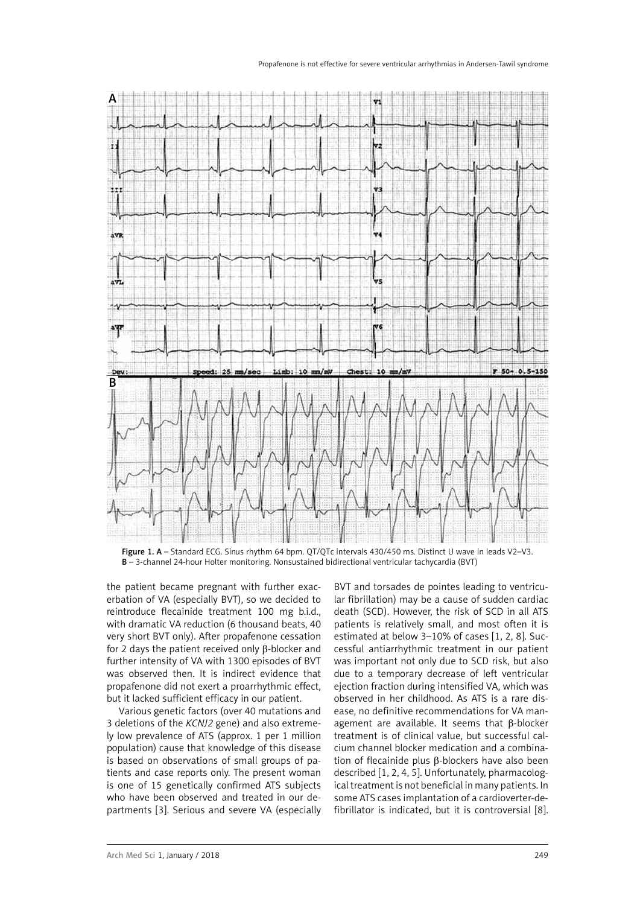## Propafenone is not effective for severe ventricular arrhythmias in Andersen-Tawil syndrome



Figure 1. A – Standard ECG. Sinus rhythm 64 bpm. QT/QTc intervals 430/450 ms. Distinct U wave in leads V2–V3. B – 3-channel 24-hour Holter monitoring. Nonsustained bidirectional ventricular tachycardia (BVT)

the patient became pregnant with further exacerbation of VA (especially BVT), so we decided to reintroduce flecainide treatment 100 mg b.i.d., with dramatic VA reduction (6 thousand beats, 40 very short BVT only). After propafenone cessation for 2 days the patient received only β-blocker and further intensity of VA with 1300 episodes of BVT was observed then. It is indirect evidence that propafenone did not exert a proarrhythmic effect, but it lacked sufficient efficacy in our patient.

Various genetic factors (over 40 mutations and 3 deletions of the *KCNJ2* gene) and also extremely low prevalence of ATS (approx. 1 per 1 million population) cause that knowledge of this disease is based on observations of small groups of patients and case reports only. The present woman is one of 15 genetically confirmed ATS subjects who have been observed and treated in our departments [3]. Serious and severe VA (especially

BVT and torsades de pointes leading to ventricular fibrillation) may be a cause of sudden cardiac death (SCD). However, the risk of SCD in all ATS patients is relatively small, and most often it is estimated at below 3–10% of cases [1, 2, 8]. Successful antiarrhythmic treatment in our patient was important not only due to SCD risk, but also due to a temporary decrease of left ventricular eiection fraction during intensified VA, which was observed in her childhood. As ATS is a rare disease, no definitive recommendations for VA management are available. It seems that β-blocker treatment is of clinical value, but successful calcium channel blocker medication and a combination of flecainide plus β-blockers have also been described [1, 2, 4, 5]. Unfortunately, pharmacological treatment is not beneficial in many patients. In some ATS cases implantation of a cardioverter-defibrillator is indicated, but it is controversial [8].